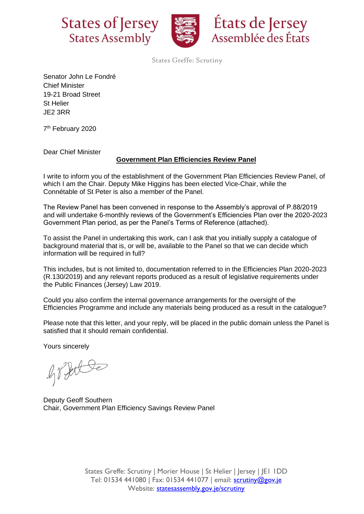



États de Jersey Assemblée des États

States Greffe: Scrutiny

Senator John Le Fondré Chief Minister 19-21 Broad Street St Helier JE2 3RR

7<sup>th</sup> February 2020

Dear Chief Minister

## **Government Plan Efficiencies Review Panel**

I write to inform you of the establishment of the Government Plan Efficiencies Review Panel, of which I am the Chair. Deputy Mike Higgins has been elected Vice-Chair, while the Connétable of St Peter is also a member of the Panel.

The Review Panel has been convened in response to the Assembly's approval of P.88/2019 and will undertake 6-monthly reviews of the Government's Efficiencies Plan over the 2020-2023 Government Plan period, as per the Panel's Terms of Reference (attached).

To assist the Panel in undertaking this work, can I ask that you initially supply a catalogue of background material that is, or will be, available to the Panel so that we can decide which information will be required in full?

This includes, but is not limited to, documentation referred to in the Efficiencies Plan 2020-2023 (R.130/2019) and any relevant reports produced as a result of legislative requirements under the [Public Finances \(Jersey\) Law 2019.](https://www.jerseylaw.je/laws/enacted/Pages/L-10-2019.aspx)

Could you also confirm the internal governance arrangements for the oversight of the Efficiencies Programme and include any materials being produced as a result in the catalogue?

Please note that this letter, and your reply, will be placed in the public domain unless the Panel is satisfied that it should remain confidential.

Yours sincerely

Jobbe

Deputy Geoff Southern Chair, Government Plan Efficiency Savings Review Panel